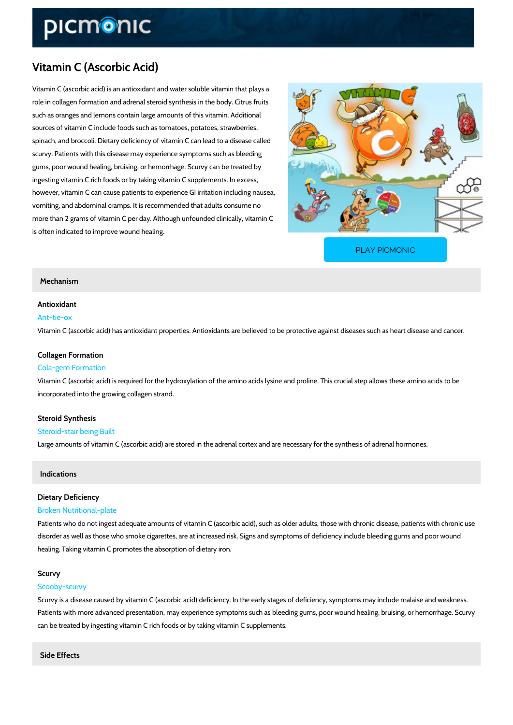# Vitamin C (Ascorbic Acid)

Vitamin C (ascorbic acid) is an antioxidant and water soluble vitamin that plays a role in collagen formation and adrenal steroid synthesis in the body. Citrus fruits such as oranges and lemons contain large amounts of this vitamin. Additional sources of vitamin C include foods such as tomatoes, potatoes, strawberries, spinach, and broccoli. Dietary deficiency of vitamin C can lead to a disease called scurvy. Patients with this disease may experience symptoms such as bleeding gums, poor wound healing, bruising, or hemorrhage. Scurvy can be treated by ingesting vitamin C rich foods or by taking vitamin C supplements. In excess, however, vitamin C can cause patients to experience GI irritation including nausea, vomiting, and abdominal cramps. It is recommended that adults consume no more than 2 grams of vitamin C per day. Although unfounded clinically, vitamin C is often indicated to improve wound healing.

[PLAY PICMONIC](https://www.picmonic.com/learn/vitamin-c-ascorbic-acid_2185?utm_source=downloadable_content&utm_medium=distributedcontent&utm_campaign=pathways_pdf&utm_content=Vitamin C (Ascorbic Acid)&utm_ad_group=leads&utm_market=all)

#### Mechanism

## Antioxidant

#### Ant-tie-ox

Vitamin C (ascorbic acid) has antioxidant properties. Antioxidants are believed to be protectiv

#### Collagen Formation

#### Cola-gem Formation

Vitamin C (ascorbic acid) is required for the hydroxylation of the amino acids lysine and proli incorporated into the growing collagen strand.

# Steroid Synthesis

## Steroid-stair being Built

Large amounts of vitamin C (ascorbic acid) are stored in the adrenal cortex and are necessary

#### Indications

## Dietary Deficiency

#### Broken Nutritional-plate

Patients who do not ingest adequate amounts of vitamin C (ascorbic acid), such as older adul disorder as well as those who smoke cigarettes, are at increased risk. Signs and symptoms of healing. Taking vitamin C promotes the absorption of dietary iron.

#### Scurvy

#### Scooby-scurvy

Scurvy is a disease caused by vitamin C (ascorbic acid) deficiency. In the early stages of def Patients with more advanced presentation, may experience symptoms such as bleeding gums, can be treated by ingesting vitamin C rich foods or by taking vitamin C supplements.

Side Effects